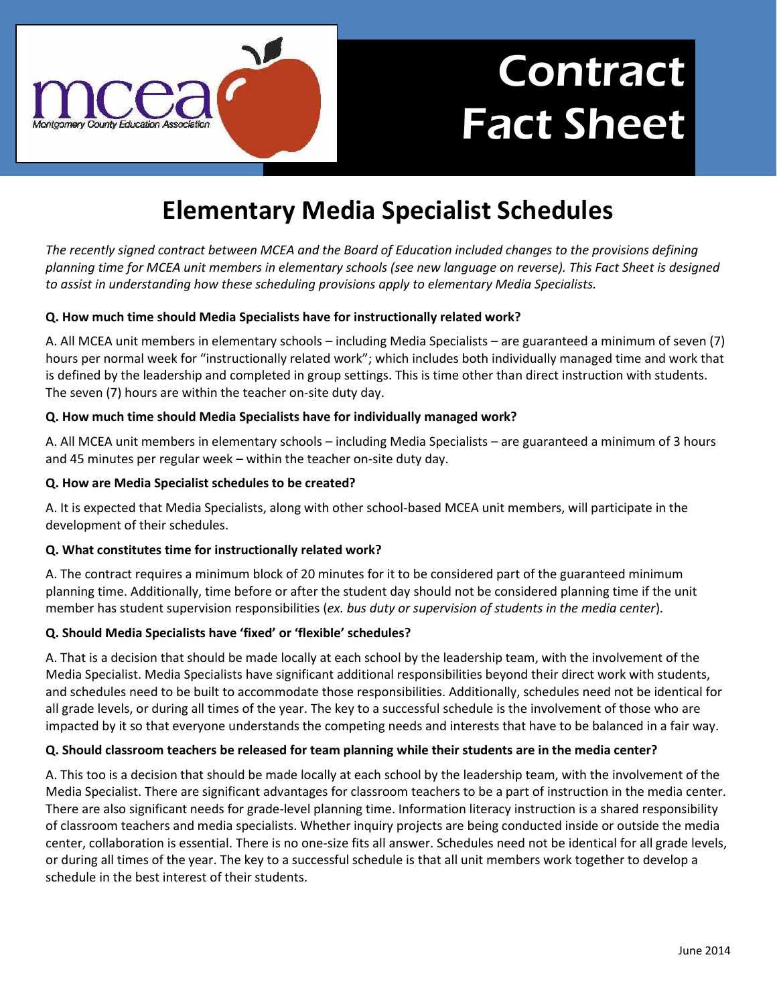

# Contract Fact Sheet

## **Elementary Media Specialist Schedules**

*The recently signed contract between MCEA and the Board of Education included changes to the provisions defining planning time for MCEA unit members in elementary schools (see new language on reverse). This Fact Sheet is designed to assist in understanding how these scheduling provisions apply to elementary Media Specialists.*

#### **Q. How much time should Media Specialists have for instructionally related work?**

A. All MCEA unit members in elementary schools – including Media Specialists – are guaranteed a minimum of seven (7) hours per normal week for "instructionally related work"; which includes both individually managed time and work that is defined by the leadership and completed in group settings. This is time other than direct instruction with students. The seven (7) hours are within the teacher on-site duty day.

#### **Q. How much time should Media Specialists have for individually managed work?**

A. All MCEA unit members in elementary schools – including Media Specialists – are guaranteed a minimum of 3 hours and 45 minutes per regular week – within the teacher on-site duty day.

#### **Q. How are Media Specialist schedules to be created?**

A. It is expected that Media Specialists, along with other school-based MCEA unit members, will participate in the development of their schedules.

### **Q. What constitutes time for instructionally related work?**

A. The contract requires a minimum block of 20 minutes for it to be considered part of the guaranteed minimum planning time. Additionally, time before or after the student day should not be considered planning time if the unit member has student supervision responsibilities (*ex. bus duty or supervision of students in the media center*).

### **Q. Should Media Specialists have 'fixed' or 'flexible' schedules?**

A. That is a decision that should be made locally at each school by the leadership team, with the involvement of the Media Specialist. Media Specialists have significant additional responsibilities beyond their direct work with students, and schedules need to be built to accommodate those responsibilities. Additionally, schedules need not be identical for all grade levels, or during all times of the year. The key to a successful schedule is the involvement of those who are impacted by it so that everyone understands the competing needs and interests that have to be balanced in a fair way.

#### **Q. Should classroom teachers be released for team planning while their students are in the media center?**

A. This too is a decision that should be made locally at each school by the leadership team, with the involvement of the Media Specialist. There are significant advantages for classroom teachers to be a part of instruction in the media center. There are also significant needs for grade-level planning time. Information literacy instruction is a shared responsibility of classroom teachers and media specialists. Whether inquiry projects are being conducted inside or outside the media center, collaboration is essential. There is no one-size fits all answer. Schedules need not be identical for all grade levels, or during all times of the year. The key to a successful schedule is that all unit members work together to develop a schedule in the best interest of their students.